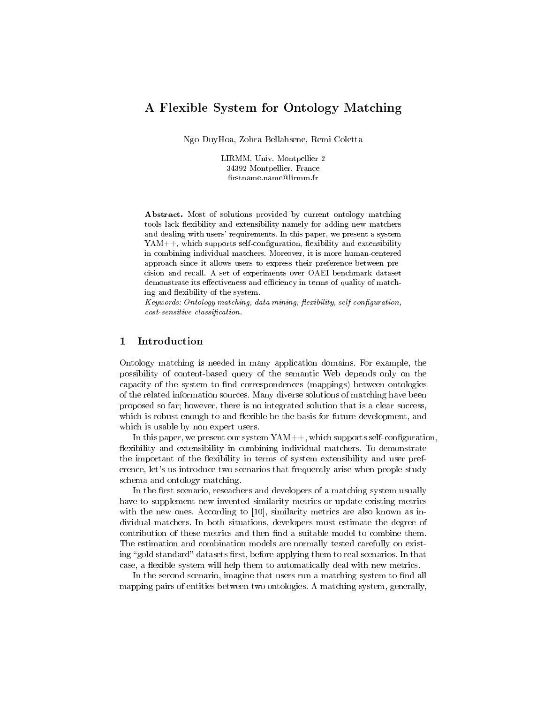# A Flexible System for Ontology Matching

Ngo DuyHoa, Zohra Bellahsene, Remi Coletta

LIRMM, Univ. Montpellier 2 34392 Montpellier, France rstname.name@lirmm.fr

Abstract. Most of solutions provided by current ontology matching tools lack flexibility and extensibility namely for adding new matchers and dealing with users' requirements. In this paper, we present a system  $YAM++$ , which supports self-configuration, flexibility and extensibility in combining individual matchers. Moreover, it is more human-centered approach since it allows users to express their preference between precision and recall. A set of experiments over OAEI benchmark dataset demonstrate its effectiveness and efficiency in terms of quality of matching and flexibility of the system.

Keywords: Ontology matching, data mining, flexibility, self-configuration,  $cost\text{-}sensitive\ \text{classification}.$ 

## 1 Introduction

Ontology matching is needed in many application domains. For example, the possibility of content-based query of the semantic Web depends only on the capacity of the system to find correspondences (mappings) between ontologies of the related information sources. Many diverse solutions of matching have been proposed so far; however, there is no integrated solution that is a clear success, which is robust enough to and flexible be the basis for future development, and which is usable by non expert users.

In this paper, we present our system  $YAM++$ , which supports self-configuration, flexibility and extensibility in combining individual matchers. To demonstrate the important of the flexibility in terms of system extensibility and user preference, let's us introduce two scenarios that frequently arise when people study schema and ontology matching.

In the first scenario, reseachers and developers of a matching system usually have to supplement new invented similarity metrics or update existing metrics with the new ones. According to [10], similarity metrics are also known as individual matchers. In both situations, developers must estimate the degree of contribution of these metrics and then find a suitable model to combine them. The estimation and combination models are normally tested carefully on existing "gold standard" datasets first, before applying them to real scenarios. In that case, a flexible system will help them to automatically deal with new metrics.

In the second scenario, imagine that users run a matching system to find all mapping pairs of entities between two ontologies. A matching system, generally,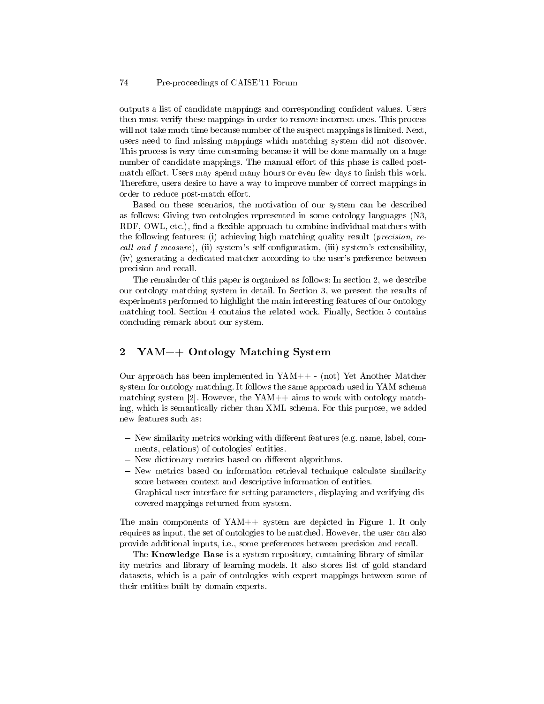outputs a list of candidate mappings and corresponding condent values. Users then must verify these mappings in order to remove incorrect ones. This process will not take much time because number of the suspect mappings is limited. Next, users need to find missing mappings which matching system did not discover. This process is very time consuming because it will be done manually on a huge number of candidate mappings. The manual effort of this phase is called postmatch effort. Users may spend many hours or even few days to finish this work. Therefore, users desire to have a way to improve number of correct mappings in order to reduce post-match effort.

Based on these scenarios, the motivation of our system can be described as follows: Giving two ontologies represented in some ontology languages (N3, RDF, OWL, etc.), find a flexible approach to combine individual matchers with the following features: (i) achieving high matching quality result (precision, recall and  $f$ -measure), (ii) system's self-configuration, (iii) system's extensibility, (iv) generating a dedicated matcher according to the user's preference between precision and recall.

The remainder of this paper is organized as follows: In section 2, we describe our ontology matching system in detail. In Section 3, we present the results of experiments performed to highlight the main interesting features of our ontology matching tool. Section 4 contains the related work. Finally, Section 5 contains concluding remark about our system.

## 2 YAM++ Ontology Matching System

Our approach has been implemented in YAM++ - (not) Yet Another Matcher system for ontology matching. It follows the same approach used in YAM schema matching system [2]. However, the YAM++ aims to work with ontology matching, which is semantically richer than XML schema. For this purpose, we added new features such as:

- $-$  New similarity metrics working with different features (e.g. name, label, comments, relations) of ontologies' entities.
- New dictionary metrics based on different algorithms.
- New metrics based on information retrieval technique calculate similarity score between context and descriptive information of entities.
- Graphical user interface for setting parameters, displaying and verifying discovered mappings returned from system.

The main components of YAM++ system are depicted in Figure 1. It only requires as input, the set of ontologies to be matched. However, the user can also provide additional inputs, i.e., some preferences between precision and recall.

The Knowledge Base is a system repository, containing library of similarity metrics and library of learning models. It also stores list of gold standard datasets, which is a pair of ontologies with expert mappings between some of their entities built by domain experts.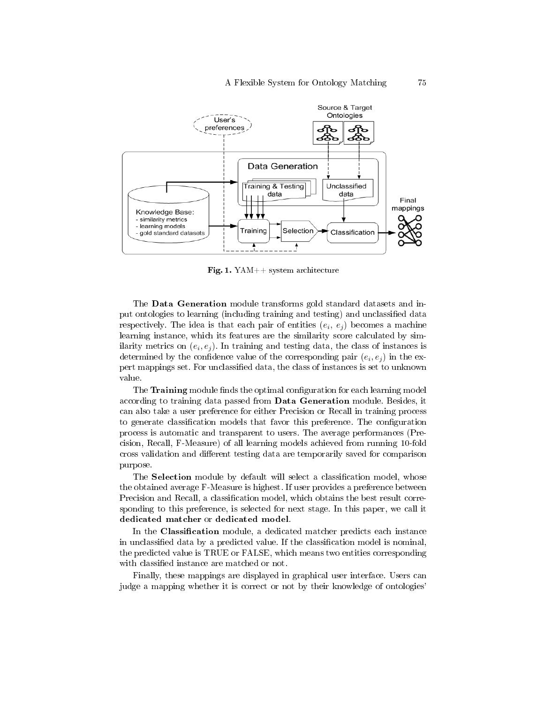

Fig. 1. YAM++ system architecture

The Data Generation module transforms gold standard datasets and input ontologies to learning (including training and testing) and unclassied data respectively. The idea is that each pair of entities  $(e_i, e_j)$  becomes a machine learning instance, which its features are the similarity score calculated by similarity metrics on  $(e_i, e_j)$ . In training and testing data, the class of instances is determined by the confidence value of the corresponding pair  $(e_i, e_j)$  in the expert mappings set. For unclassified data, the class of instances is set to unknown value.

The Training module finds the optimal configuration for each learning model according to training data passed from Data Generation module. Besides, it can also take a user preference for either Precision or Recall in training process to generate classification models that favor this preference. The configuration process is automatic and transparent to users. The average performances (Precision, Recall, F-Measure) of all learning models achieved from running 10-fold cross validation and different testing data are temporarily saved for comparison purpose.

The Selection module by default will select a classification model, whose the obtained average F-Measure is highest. If user provides a preference between Precision and Recall, a classification model, which obtains the best result corresponding to this preference, is selected for next stage. In this paper, we call it dedicated matcher or dedicated model.

In the Classification module, a dedicated matcher predicts each instance in unclassified data by a predicted value. If the classification model is nominal, the predicted value is TRUE or FALSE, which means two entities corresponding with classified instance are matched or not.

Finally, these mappings are displayed in graphical user interface. Users can judge a mapping whether it is correct or not by their knowledge of ontologies'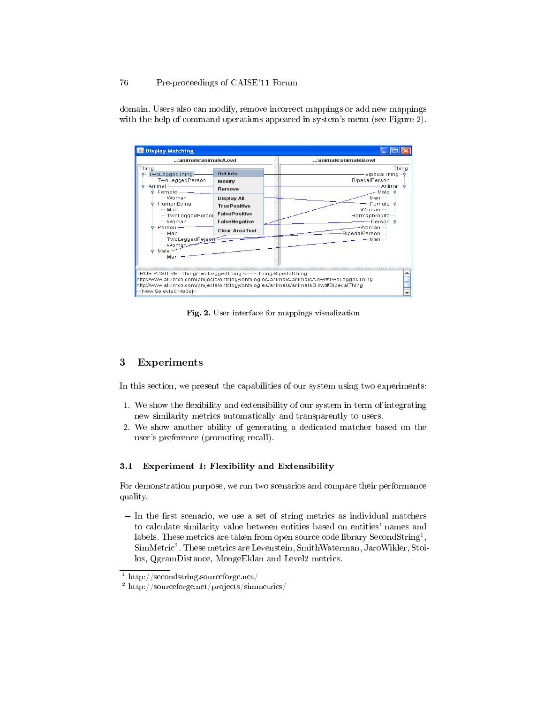### 76 Pre-proceedings of CAISE'11 Forum

**S** Display Matching  $\overline{\mathbb{H}}$   $\mathbb{H}$ ...\animals\animalsA.owl ..\animals\animalsB.owl Thing Thing TwoLeggedThing **Get Info** ....<br>- BipedalThing E TwoLeggedPerson **BipedalPerson** Modify Animal Remove - Female Male – Woman **Display All** Man HumanBeing Female **TruePositive** Woman Man FalsePositive TwoLeggedPerso Hermaphrodite Woman FalseNegative -Person –∳ Person--Woman **Clear AreaText BipedalPerson** Man TwoLeggedPerson Man Woman Male Man TRUE POSITIVE : Thing/TwoLeggedThing <----> Thing/BipedalThing ۸ http://www.atl.imco.com/projects/ontology/ontologies/animals/animalsA.owl#TwoLeggedThing http://www.atl.imco.com/projects/ontology/ontologies/animals/animalsB.owl#BipedalThing -[New Selected Node]-

domain. Users also can modify, remove incorrect mappings or add new mappings with the help of command operations appeared in system's menu (see Figure 2).

Fig. 2. User interface for mappings visualization

## 3 Experiments

In this section, we present the capabilities of our system using two experiments:

- 1. We show the flexibility and extensibility of our system in term of integrating new similarity metrics automatically and transparently to users.
- 2. We show another ability of generating a dedicated matcher based on the user's preference (promoting recall).

#### 3.1 Experiment 1: Flexibility and Extensibility

For demonstration purpose, we run two scenarios and compare their performance quality.

 $-$  In the first scenario, we use a set of string metrics as individual matchers to calculate similarity value between entities based on entities' names and labels. These metrics are taken from open source code library SecondString<sup>1</sup>, SimMetric<sup>2</sup> . These metrics are Levenstein, SmithWaterman, JaroWikler, Stoilos, QgramDistance, MongeEklan and Level2 metrics.

 $1$  http://secondstring.sourceforge.net/

<sup>2</sup> http://sourceforge.net/projects/simmetrics/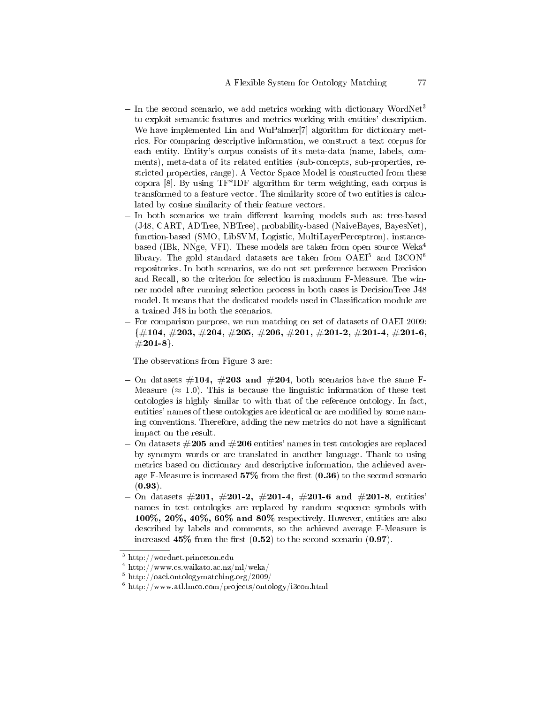- $\sim$  In the second scenario, we add metrics working with dictionary WordNet<sup>3</sup> to exploit semantic features and metrics working with entities' description. We have implemented Lin and WuPalmer[7] algorithm for dictionary metrics. For comparing descriptive information, we construct a text corpus for each entity. Entity's corpus consists of its meta-data (name, labels, comments), meta-data of its related entities (sub-concepts, sub-properties, restricted properties, range). A Vector Space Model is constructed from these copora [8]. By using TF\*IDF algorithm for term weighting, each corpus is transformed to a feature vector. The similarity score of two entities is calculated by cosine similarity of their feature vectors.
- In both scenarios we train different learning models such as: tree-based (J48, CART, ADTree, NBTree), probability-based (NaiveBayes, BayesNet), function-based (SMO, LibSVM, Logistic, MultiLayerPerceptron), instancebased (IBk, NNge, VFI). These models are taken from open source Weka<sup>4</sup> library. The gold standard datasets are taken from  $OAEI<sup>5</sup>$  and I3CON<sup>6</sup> repositories. In both scenarios, we do not set preference between Precision and Recall, so the criterion for selection is maximum F-Measure. The winner model after running selection process in both cases is DecisionTree J48 model. It means that the dedicated models used in Classification module are a trained J48 in both the scenarios.
- For comparison purpose, we run matching on set of datasets of OAEI 2009:  ${\#104, \#203, \#204, \#205, \#206, \#201, \#201-2, \#201-4, \#201-6, }$  $\#201-8$ .

The observations from Figure 3 are:

- On datasets  $\#104$ ,  $\#203$  and  $\#204$ , both scenarios have the same F-Measure ( $\approx$  1.0). This is because the linguistic information of these test ontologies is highly similar to with that of the reference ontology. In fact, entities' names of these ontologies are identical or are modified by some naming conventions. Therefore, adding the new metrics do not have a signicant impact on the result.
- On datasets  $\#205$  and  $\#206$  entities' names in test ontologies are replaced by synonym words or are translated in another language. Thank to using metrics based on dictionary and descriptive information, the achieved average F-Measure is increased  $57\%$  from the first  $(0.36)$  to the second scenario  $(0.93)$ .
- $-$  On datasets  $\#201$ ,  $\#201$ -2,  $\#201$ -4,  $\#201$ -6 and  $\#201$ -8, entities' names in test ontologies are replaced by random sequence symbols with 100%, 20%, 40%, 60% and 80% respectively. However, entities are also described by labels and comments, so the achieved average F-Measure is increased  $45\%$  from the first  $(0.52)$  to the second scenario  $(0.97)$ .

<sup>3</sup> http://wordnet.princeton.edu

<sup>4</sup> http://www.cs.waikato.ac.nz/ml/weka/

<sup>5</sup> http://oaei.ontologymatching.org/2009/

 $6$  http://www.atl.lmco.com/projects/ontology/i3con.html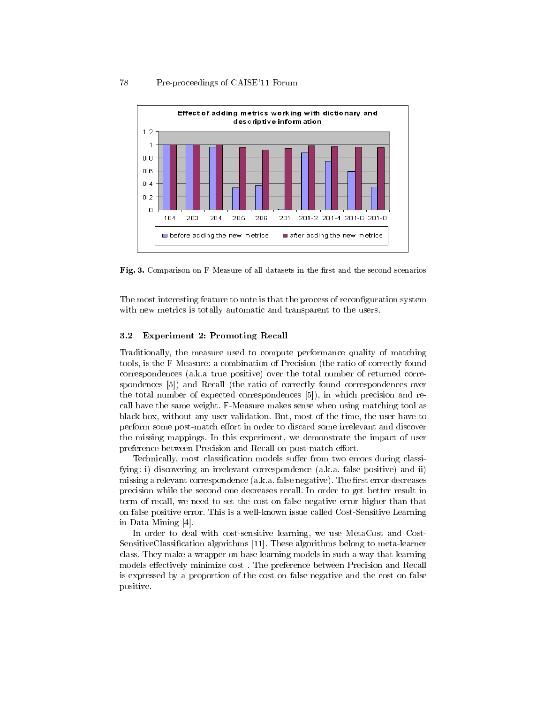#### 78 Pre-proceedings of CAISE'11 Forum



Fig. 3. Comparison on F-Measure of all datasets in the first and the second scenarios

The most interesting feature to note is that the process of reconfiguration system with new metrics is totally automatic and transparent to the users.

#### 3.2 Experiment 2: Promoting Recall

Traditionally, the measure used to compute performance quality of matching tools, is the F-Measure: a combination of Precision (the ratio of correctly found correspondences (a.k.a true positive) over the total number of returned correspondences [5]) and Recall (the ratio of correctly found correspondences over the total number of expected correspondences [5]), in which precision and recall have the same weight. F-Measure makes sense when using matching tool as black box, without any user validation. But, most of the time, the user have to perform some post-match effort in order to discard some irrelevant and discover the missing mappings. In this experiment, we demonstrate the impact of user preference between Precision and Recall on post-match effort.

Technically, most classification models suffer from two errors during classifying: i) discovering an irrelevant correspondence (a.k.a. false positive) and ii) missing a relevant correspondence  $(a, k, a, f)$  false negative). The first error decreases precision while the second one decreases recall. In order to get better result in term of recall, we need to set the cost on false negative error higher than that on false positive error. This is a well-known issue called Cost-Sensitive Learning in Data Mining [4].

In order to deal with cost-sensitive learning, we use MetaCost and Cost-SensitiveClassification algorithms [11]. These algorithms belong to meta-learner class. They make a wrapper on base learning models in such a way that learning models effectively minimize cost. The preference between Precision and Recall is expressed by a proportion of the cost on false negative and the cost on false positive.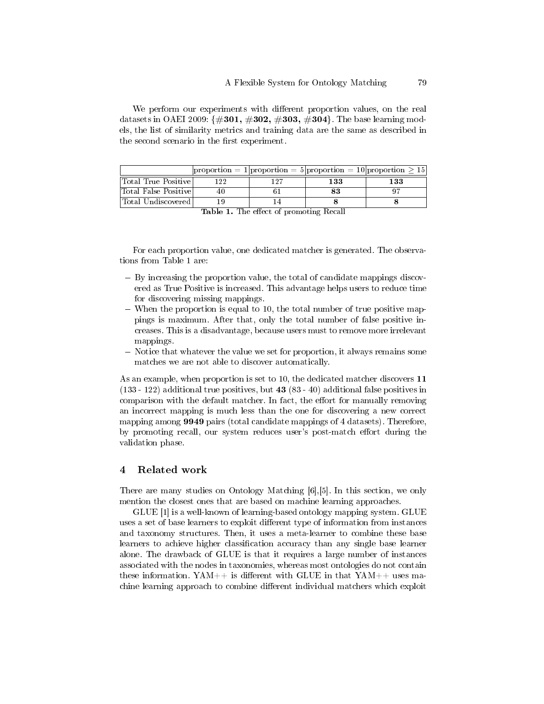We perform our experiments with different proportion values, on the real datasets in OAEI 2009:  $\{\#301, \#302, \#303, \#304\}$ . The base learning models, the list of similarity metrics and training data are the same as described in the second scenario in the first experiment.

|                      |      |       |     | $ proportion = 1 proportion = 5 proportion = 10 proportion > 15 $ |
|----------------------|------|-------|-----|-------------------------------------------------------------------|
| Total True Positive  | 199. | 1 ດ 7 | 133 | 133                                                               |
| Total False Positive |      |       | 83  |                                                                   |
| Total Undiscovered   |      |       |     |                                                                   |

|  |  |  |  |  | <b>Table 1.</b> The effect of promoting Recall |  |
|--|--|--|--|--|------------------------------------------------|--|
|--|--|--|--|--|------------------------------------------------|--|

For each proportion value, one dedicated matcher is generated. The observations from Table 1 are:

- By increasing the proportion value, the total of candidate mappings discovered as True Positive is increased. This advantage helps users to reduce time for discovering missing mappings.
- When the proportion is equal to 10, the total number of true positive mappings is maximum. After that, only the total number of false positive increases. This is a disadvantage, because users must to remove more irrelevant mappings.
- Notice that whatever the value we set for proportion, it always remains some matches we are not able to discover automatically.

As an example, when proportion is set to 10, the dedicated matcher discovers 11 (133 - 122) additional true positives, but 43 (83 - 40) additional false positives in comparison with the default matcher. In fact, the effort for manually removing an incorrect mapping is much less than the one for discovering a new correct mapping among 9949 pairs (total candidate mappings of 4 datasets). Therefore, by promoting recall, our system reduces user's post-match effort during the validation phase.

### 4 Related work

There are many studies on Ontology Matching [6],[5]. In this section, we only mention the closest ones that are based on machine learning approaches.

GLUE [1] is a well-known of learning-based ontology mapping system. GLUE uses a set of base learners to exploit different type of information from instances and taxonomy structures. Then, it uses a meta-learner to combine these base learners to achieve higher classification accuracy than any single base learner alone. The drawback of GLUE is that it requires a large number of instances associated with the nodes in taxonomies, whereas most ontologies do not contain these information.  $YAM++$  is different with GLUE in that  $YAM++$  uses machine learning approach to combine different individual matchers which exploit